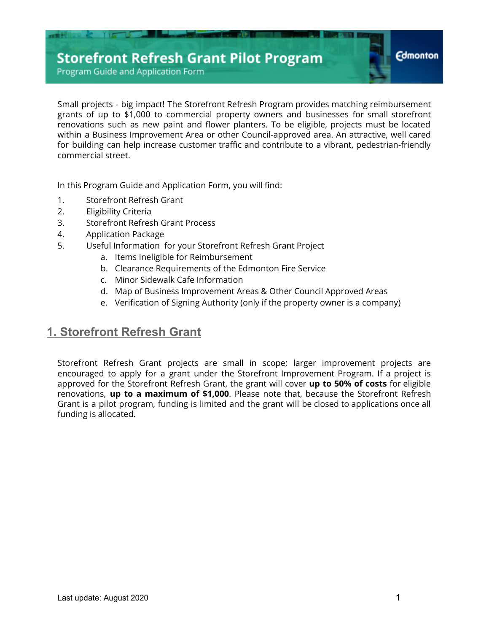Program Guide and Application Form

Small projects - big impact! The Storefront Refresh Program provides matching reimbursement grants of up to \$1,000 to commercial property owners and businesses for small storefront renovations such as new paint and flower planters. To be eligible, projects must be located within a Business Improvement Area or other Council-approved area. An attractive, well cared for building can help increase customer traffic and contribute to a vibrant, pedestrian-friendly commercial street.

In this Program Guide and Application Form, you will find:

- 1. Storefront Refresh Grant
- 2. Eligibility Criteria
- 3. Storefront Refresh Grant Process
- 4. Application Package
- 5. Useful Information for your Storefront Refresh Grant Project
	- a. Items Ineligible for Reimbursement
	- b. Clearance Requirements of the Edmonton Fire Service
	- c. Minor Sidewalk Cafe Information
	- d. Map of Business Improvement Areas & Other Council Approved Areas
	- e. Verification of Signing Authority (only if the property owner is a company)

## **1. Storefront Refresh Grant**

Storefront Refresh Grant projects are small in scope; larger improvement projects are encouraged to apply for a grant under the Storefront Improvement Program. If a project is approved for the Storefront Refresh Grant, the grant will cover **up to 50% of costs** for eligible renovations, **up to a maximum of \$1,000**. Please note that, because the Storefront Refresh Grant is a pilot program, funding is limited and the grant will be closed to applications once all funding is allocated.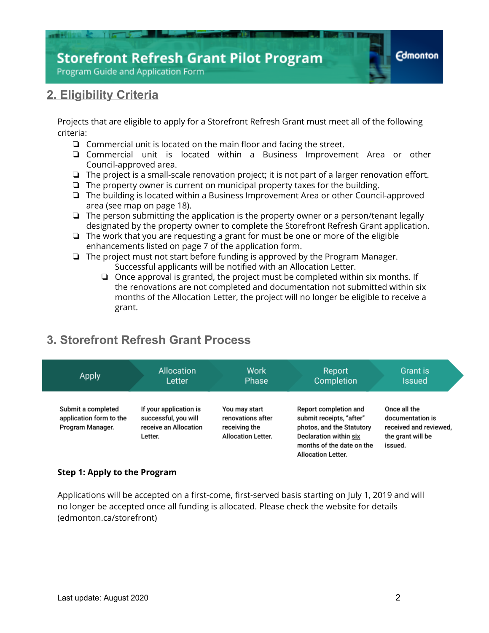

## **2. Eligibility Criteria**

Projects that are eligible to apply for a Storefront Refresh Grant must meet all of the following criteria:

- ❏ Commercial unit is located on the main floor and facing the street.
- ❏ Commercial unit is located within a Business Improvement Area or other Council-approved area.
- ❏ The project is a small-scale renovation project; it is not part of a larger renovation effort.
- ❏ The property owner is current on municipal property taxes for the building.
- ❏ The building is located within a Business Improvement Area or other Council-approved area (see map on page 18).
- ❏ The person submitting the application is the property owner or a person/tenant legally designated by the property owner to complete the Storefront Refresh Grant application.
- ❏ The work that you are requesting a grant for must be one or more of the eligible enhancements listed on page 7 of the application form.
- ❏ The project must not start before funding is approved by the Program Manager. Successful applicants will be notified with an Allocation Letter.
	- ❏ Once approval is granted, the project must be completed within six months. If the renovations are not completed and documentation not submitted within six months of the Allocation Letter, the project will no longer be eligible to receive a grant.

## **3. Storefront Refresh Grant Process**



### **Step 1: Apply to the Program**

Applications will be accepted on a first-come, first-served basis starting on July 1, 2019 and will no longer be accepted once all funding is allocated. Please check the website for details (edmonton.ca/storefront)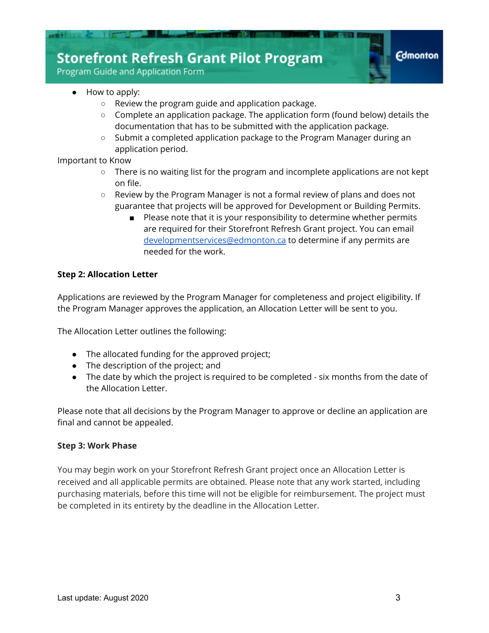Program Guide and Application Form

- How to apply:
	- Review the program guide and application package.
	- $\circ$  Complete an application package. The application form (found below) details the documentation that has to be submitted with the application package.
	- Submit a completed application package to the Program Manager during an application period.

Important to Know

- There is no waiting list for the program and incomplete applications are not kept on file.
- Review by the Program Manager is not a formal review of plans and does not guarantee that projects will be approved for Development or Building Permits.
	- Please note that it is your responsibility to determine whether permits are required for their Storefront Refresh Grant project. You can email [developmentservices@edmonton.ca](mailto:developmentservices@edmonton.ca) to determine if any permits are needed for the work.

#### **Step 2: Allocation Letter**

Applications are reviewed by the Program Manager for completeness and project eligibility. If the Program Manager approves the application, an Allocation Letter will be sent to you.

The Allocation Letter outlines the following:

- The allocated funding for the approved project;
- The description of the project; and
- The date by which the project is required to be completed six months from the date of the Allocation Letter.

Please note that all decisions by the Program Manager to approve or decline an application are final and cannot be appealed.

#### **Step 3: Work Phase**

You may begin work on your Storefront Refresh Grant project once an Allocation Letter is received and all applicable permits are obtained. Please note that any work started, including purchasing materials, before this time will not be eligible for reimbursement. The project must be completed in its entirety by the deadline in the Allocation Letter.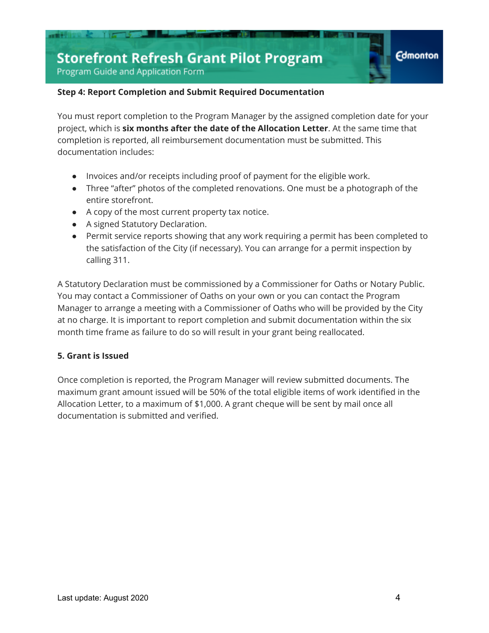Program Guide and Application Form

#### **Step 4: Report Completion and Submit Required Documentation**

You must report completion to the Program Manager by the assigned completion date for your project, which is **six months after the date of the Allocation Letter**. At the same time that completion is reported, all reimbursement documentation must be submitted. This documentation includes:

- Invoices and/or receipts including proof of payment for the eligible work.
- Three "after" photos of the completed renovations. One must be a photograph of the entire storefront.
- A copy of the most current property tax notice.
- A signed Statutory Declaration.
- Permit service reports showing that any work requiring a permit has been completed to the satisfaction of the City (if necessary). You can arrange for a permit inspection by calling 311.

A Statutory Declaration must be commissioned by a Commissioner for Oaths or Notary Public. You may contact a Commissioner of Oaths on your own or you can contact the Program Manager to arrange a meeting with a Commissioner of Oaths who will be provided by the City at no charge. It is important to report completion and submit documentation within the six month time frame as failure to do so will result in your grant being reallocated.

### **5. Grant is Issued**

Once completion is reported, the Program Manager will review submitted documents. The maximum grant amount issued will be 50% of the total eligible items of work identified in the Allocation Letter, to a maximum of \$1,000. A grant cheque will be sent by mail once all documentation is submitted and verified.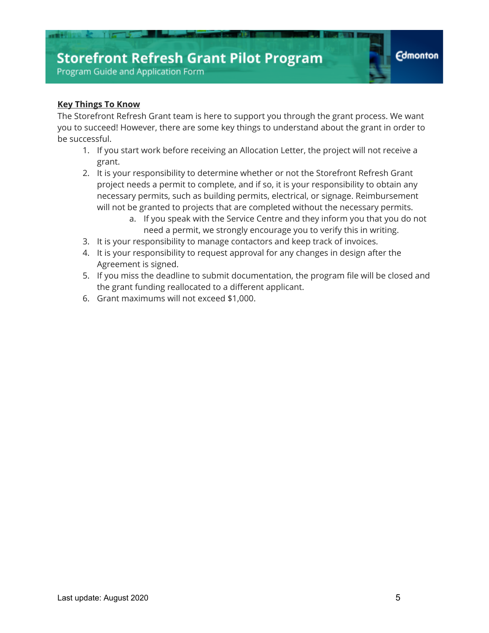## **Key Things To Know**

The Storefront Refresh Grant team is here to support you through the grant process. We want you to succeed! However, there are some key things to understand about the grant in order to be successful.

- 1. If you start work before receiving an Allocation Letter, the project will not receive a grant.
- 2. It is your responsibility to determine whether or not the Storefront Refresh Grant project needs a permit to complete, and if so, it is your responsibility to obtain any necessary permits, such as building permits, electrical, or signage. Reimbursement will not be granted to projects that are completed without the necessary permits.
	- a. If you speak with the Service Centre and they inform you that you do not need a permit, we strongly encourage you to verify this in writing.
- 3. It is your responsibility to manage contactors and keep track of invoices.
- 4. It is your responsibility to request approval for any changes in design after the Agreement is signed.
- 5. If you miss the deadline to submit documentation, the program file will be closed and the grant funding reallocated to a different applicant.
- 6. Grant maximums will not exceed \$1,000.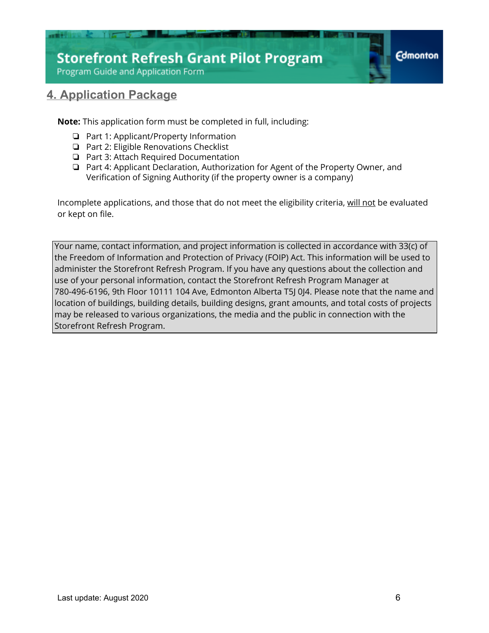

## **4. Application Package**

**Note:** This application form must be completed in full, including:

- ❏ Part 1: Applicant/Property Information
- ❏ Part 2: Eligible Renovations Checklist
- ❏ Part 3: Attach Required Documentation
- ❏ Part 4: Applicant Declaration, Authorization for Agent of the Property Owner, and Verification of Signing Authority (if the property owner is a company)

Incomplete applications, and those that do not meet the eligibility criteria, will not be evaluated or kept on file.

Your name, contact information, and project information is collected in accordance with 33(c) of the Freedom of Information and Protection of Privacy (FOIP) Act. This information will be used to administer the Storefront Refresh Program. If you have any questions about the collection and use of your personal information, contact the Storefront Refresh Program Manager at 780-496-6196, 9th Floor 10111 104 Ave, Edmonton Alberta T5J 0J4. Please note that the name and location of buildings, building details, building designs, grant amounts, and total costs of projects may be released to various organizations, the media and the public in connection with the Storefront Refresh Program.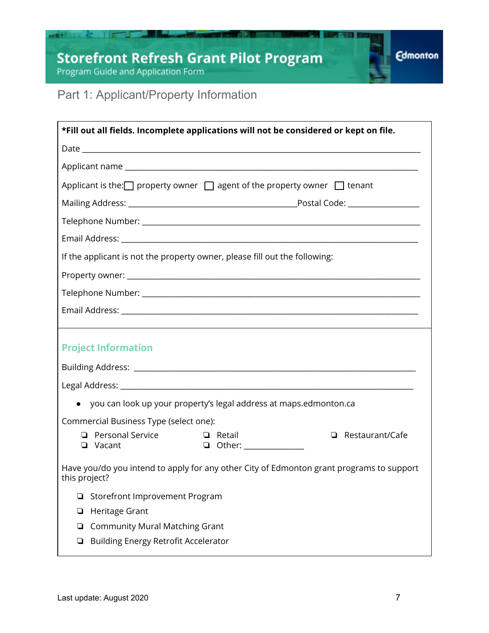# Storefront Refresh Grant Pilot Program<br>Program Guide and Application Form

mit



## Part 1: Applicant/Property Information

| *Fill out all fields. Incomplete applications will not be considered or kept on file.                     |  |  |  |  |
|-----------------------------------------------------------------------------------------------------------|--|--|--|--|
|                                                                                                           |  |  |  |  |
|                                                                                                           |  |  |  |  |
| Applicant is the: $\Box$ property owner $\Box$ agent of the property owner $\Box$ tenant                  |  |  |  |  |
|                                                                                                           |  |  |  |  |
|                                                                                                           |  |  |  |  |
|                                                                                                           |  |  |  |  |
| If the applicant is not the property owner, please fill out the following:                                |  |  |  |  |
|                                                                                                           |  |  |  |  |
|                                                                                                           |  |  |  |  |
|                                                                                                           |  |  |  |  |
|                                                                                                           |  |  |  |  |
| <b>Project Information</b>                                                                                |  |  |  |  |
|                                                                                                           |  |  |  |  |
|                                                                                                           |  |  |  |  |
| you can look up your property's legal address at maps.edmonton.ca                                         |  |  |  |  |
| Commercial Business Type (select one):                                                                    |  |  |  |  |
| <b>Q</b> Personal Service<br>$\Box$ Retail<br>$\Box$ Restaurant/Cafe                                      |  |  |  |  |
| <b>D</b> Other: _______________<br>□ Vacant                                                               |  |  |  |  |
| Have you/do you intend to apply for any other City of Edmonton grant programs to support<br>this project? |  |  |  |  |
| Storefront Improvement Program<br>❏                                                                       |  |  |  |  |
| Heritage Grant<br>❏                                                                                       |  |  |  |  |
| <b>Community Mural Matching Grant</b><br>❏                                                                |  |  |  |  |
| Building Energy Retrofit Accelerator<br>❏                                                                 |  |  |  |  |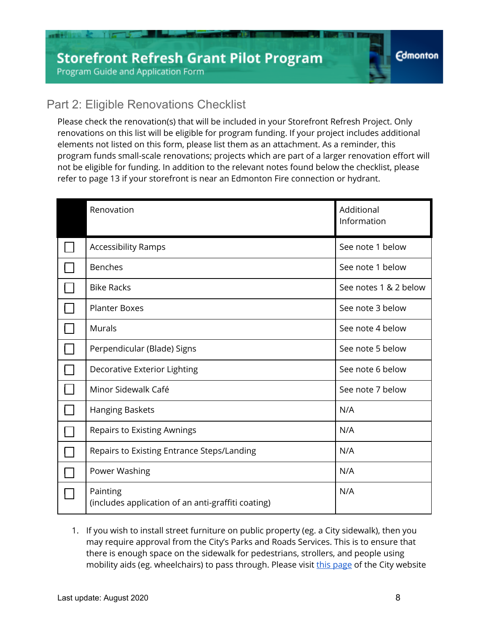## Part 2: Eligible Renovations Checklist

Please check the renovation(s) that will be included in your Storefront Refresh Project. Only renovations on this list will be eligible for program funding. If your project includes additional elements not listed on this form, please list them as an attachment. As a reminder, this program funds small-scale renovations; projects which are part of a larger renovation effort will not be eligible for funding. In addition to the relevant notes found below the checklist, please refer to page 13 if your storefront is near an Edmonton Fire connection or hydrant.

| Renovation                                                     | Additional<br>Information |
|----------------------------------------------------------------|---------------------------|
| <b>Accessibility Ramps</b>                                     | See note 1 below          |
| <b>Benches</b>                                                 | See note 1 below          |
| <b>Bike Racks</b>                                              | See notes 1 & 2 below     |
| <b>Planter Boxes</b>                                           | See note 3 below          |
| <b>Murals</b>                                                  | See note 4 below          |
| Perpendicular (Blade) Signs                                    | See note 5 below          |
| Decorative Exterior Lighting                                   | See note 6 below          |
| Minor Sidewalk Café                                            | See note 7 below          |
| Hanging Baskets                                                | N/A                       |
| <b>Repairs to Existing Awnings</b>                             | N/A                       |
| Repairs to Existing Entrance Steps/Landing                     | N/A                       |
| Power Washing                                                  | N/A                       |
| Painting<br>(includes application of an anti-graffiti coating) | N/A                       |

1. If you wish to install street furniture on public property (eg. a City sidewalk), then you may require approval from the City's Parks and Roads Services. This is to ensure that there is enough space on the sidewalk for pedestrians, strollers, and people using mobility aids (eg. wheelchairs) to pass through. Please visit [this page](https://www.edmonton.ca/business_economy/licences_permits/road-rights-of-way.aspx) of the City website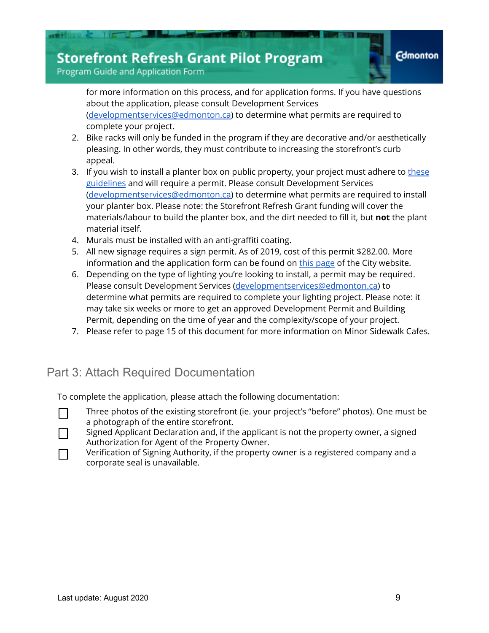Program Guide and Application Form

for more information on this process, and for application forms. If you have questions about the application, please consult Development Services [\(developmentservices@edmonton.ca\)](mailto:developmentservices@edmonton.ca) to determine what permits are required to complete your project.

- 2. Bike racks will only be funded in the program if they are decorative and/or aesthetically pleasing. In other words, they must contribute to increasing the storefront's curb appeal.
- 3. If you wish to install a planter box on public property, your project must adhere to [these](https://www.edmonton.ca/documents/PDF/Planters_Guidelines.pdf) [guidelines](https://www.edmonton.ca/documents/PDF/Planters_Guidelines.pdf) and will require a permit. Please consult Development Services [\(developmentservices@edmonton.ca\)](mailto:developmentservices@edmonton.ca) to determine what permits are required to install your planter box. Please note: the Storefront Refresh Grant funding will cover the materials/labour to build the planter box, and the dirt needed to fill it, but **not** the plant material itself.
- 4. Murals must be installed with an anti-graffiti coating.
- 5. All new signage requires a sign permit. As of 2019, cost of this permit \$282.00. More information and the application form can be found on [this page](https://www.edmonton.ca/programs_services/permanent-signs.aspx) of the City website.
- 6. Depending on the type of lighting you're looking to install, a permit may be required. Please consult Development Services ([developmentservices@edmonton.ca\)](mailto:developmentservices@edmonton.ca) to determine what permits are required to complete your lighting project. Please note: it may take six weeks or more to get an approved Development Permit and Building Permit, depending on the time of year and the complexity/scope of your project.
- 7. Please refer to page 15 of this document for more information on Minor Sidewalk Cafes.

## Part 3: Attach Required Documentation

To complete the application, please attach the following documentation:

- ❏ Three photos of the existing storefront (ie. your project's "before" photos). One must be a photograph of the entire storefront.
- ❏ Signed Applicant Declaration and, if the applicant is not the property owner, a signed Authorization for Agent of the Property Owner.
- ❏ Verification of Signing Authority, if the property owner is a registered company and a corporate seal is unavailable.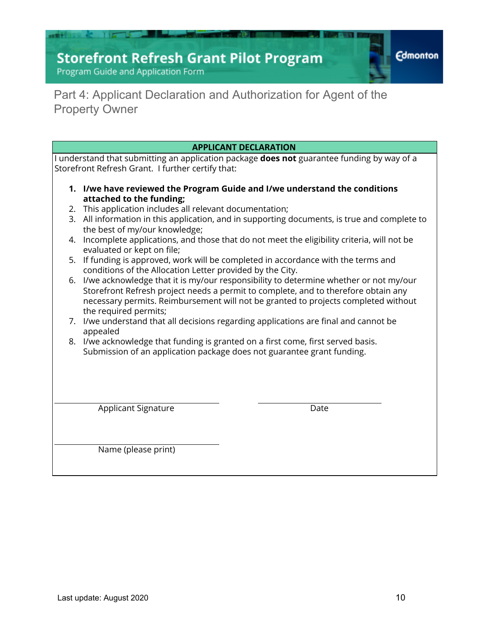# **Storefront Refresh Grant Pilot Program**<br>Program Guide and Application Form

an Mit

**Edmonton** 

## Part 4: Applicant Declaration and Authorization for Agent of the Property Owner

|  | <b>APPLICANT DECLARATION</b>                                                                                                                                                                                                                                                                                                                                                                                                                                                                                                                                                                                                                                                                                                                                                                                                                                                         |  |  |  |
|--|--------------------------------------------------------------------------------------------------------------------------------------------------------------------------------------------------------------------------------------------------------------------------------------------------------------------------------------------------------------------------------------------------------------------------------------------------------------------------------------------------------------------------------------------------------------------------------------------------------------------------------------------------------------------------------------------------------------------------------------------------------------------------------------------------------------------------------------------------------------------------------------|--|--|--|
|  | I understand that submitting an application package <b>does not</b> guarantee funding by way of a<br>Storefront Refresh Grant. I further certify that:                                                                                                                                                                                                                                                                                                                                                                                                                                                                                                                                                                                                                                                                                                                               |  |  |  |
|  | 1. I/we have reviewed the Program Guide and I/we understand the conditions<br>attached to the funding;<br>2. This application includes all relevant documentation;<br>3. All information in this application, and in supporting documents, is true and complete to<br>the best of my/our knowledge;<br>4. Incomplete applications, and those that do not meet the eligibility criteria, will not be<br>evaluated or kept on file;<br>5. If funding is approved, work will be completed in accordance with the terms and<br>conditions of the Allocation Letter provided by the City.<br>6. I/we acknowledge that it is my/our responsibility to determine whether or not my/our<br>Storefront Refresh project needs a permit to complete, and to therefore obtain any<br>necessary permits. Reimbursement will not be granted to projects completed without<br>the required permits; |  |  |  |
|  |                                                                                                                                                                                                                                                                                                                                                                                                                                                                                                                                                                                                                                                                                                                                                                                                                                                                                      |  |  |  |
|  | 7. I/we understand that all decisions regarding applications are final and cannot be<br>appealed                                                                                                                                                                                                                                                                                                                                                                                                                                                                                                                                                                                                                                                                                                                                                                                     |  |  |  |
|  | 8. I/we acknowledge that funding is granted on a first come, first served basis.<br>Submission of an application package does not guarantee grant funding.                                                                                                                                                                                                                                                                                                                                                                                                                                                                                                                                                                                                                                                                                                                           |  |  |  |
|  | <b>Applicant Signature</b><br>Date                                                                                                                                                                                                                                                                                                                                                                                                                                                                                                                                                                                                                                                                                                                                                                                                                                                   |  |  |  |
|  | Name (please print)                                                                                                                                                                                                                                                                                                                                                                                                                                                                                                                                                                                                                                                                                                                                                                                                                                                                  |  |  |  |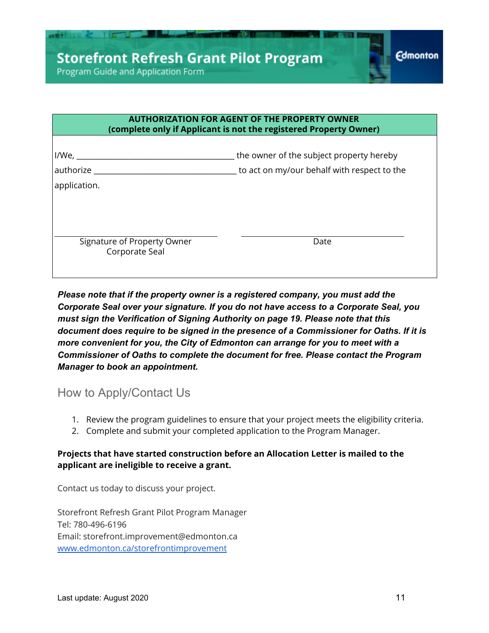

| <b>AUTHORIZATION FOR AGENT OF THE PROPERTY OWNER</b><br>(complete only if Applicant is not the registered Property Owner) |                                                                                         |  |  |
|---------------------------------------------------------------------------------------------------------------------------|-----------------------------------------------------------------------------------------|--|--|
| $I/We, \_\_$<br>authorize<br>application.                                                                                 | the owner of the subject property hereby<br>to act on my/our behalf with respect to the |  |  |
| Signature of Property Owner<br>Corporate Seal                                                                             | Date                                                                                    |  |  |

*Please note that if the property owner is a registered company, you must add the Corporate Seal over your signature. If you do not have access to a Corporate Seal, you must sign the Verification of Signing Authority on page 19. Please note that this document does require to be signed in the presence of a Commissioner for Oaths. If it is more convenient for you, the City of Edmonton can arrange for you to meet with a Commissioner of Oaths to complete the document for free. Please contact the Program Manager to book an appointment.*

## How to Apply/Contact Us

- 1. Review the program guidelines to ensure that your project meets the eligibility criteria.
- 2. Complete and submit your completed application to the Program Manager.

## **Projects that have started construction before an Allocation Letter is mailed to the applicant are ineligible to receive a grant.**

Contact us today to discuss your project.

Storefront Refresh Grant Pilot Program Manager Tel: 780-496-6196 Email: storefront.improvement@edmonton.ca [www.edmonton.ca/storefrontimprovement](http://www.edmonton.ca/storefrontimprovement)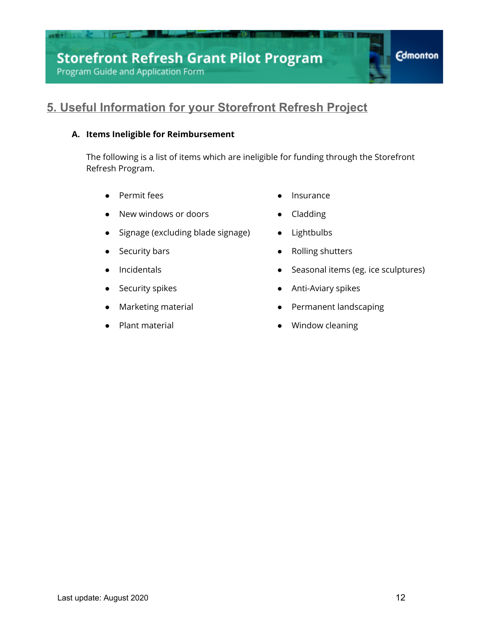## **5. Useful Information for your Storefront Refresh Project**

## **A. Items Ineligible for Reimbursement**

The following is a list of items which are ineligible for funding through the Storefront Refresh Program.

- Permit fees Insurance
- New windows or doors **e** Cladding
- Signage (excluding blade signage) Lightbulbs
- 
- 
- 
- 
- 
- 
- 
- 
- Security bars  **Rolling shutters**
- Incidentals Seasonal items (eg. ice sculptures)
	- Security spikes **by a struck of the Security Spikes •** Anti-Aviary spikes
- Marketing material and the settlement landscaping
- Plant material and the material and the Mindow cleaning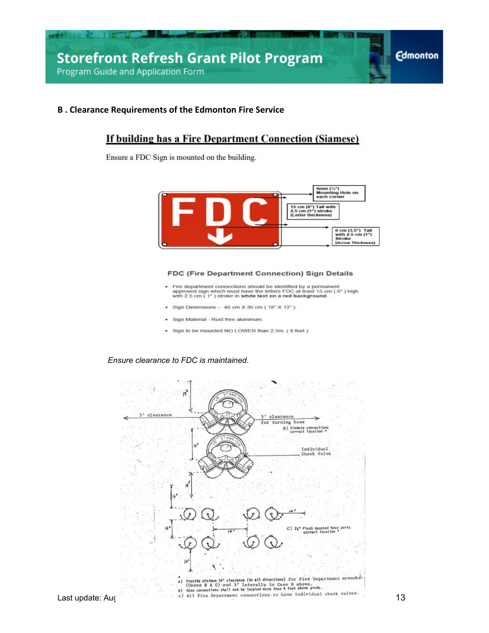#### **B . Clearance Requirements of the Edmonton Fire Service**

## **If building has a Fire Department Connection (Siamese)**

Ensure a FDC Sign is mounted on the building.



#### FDC (Fire Department Connection) Sign Details

- Fire department connections should be identified by a permanent<br>approved sign which must have the letters FDC at least 15 cm (6") high<br>with 2.5 cm (1") stroke in white text on a red background.
- Sign Dimensions  $-46$  cm  $\times$  30 cm ( $18" \times 12"$ )
- Sign Material Rust free aluminum. ٠
- · Sign to be mounted NO LOWER than 2.5m. (8 feet)

#### *Ensure clearance to FDC is maintained*.

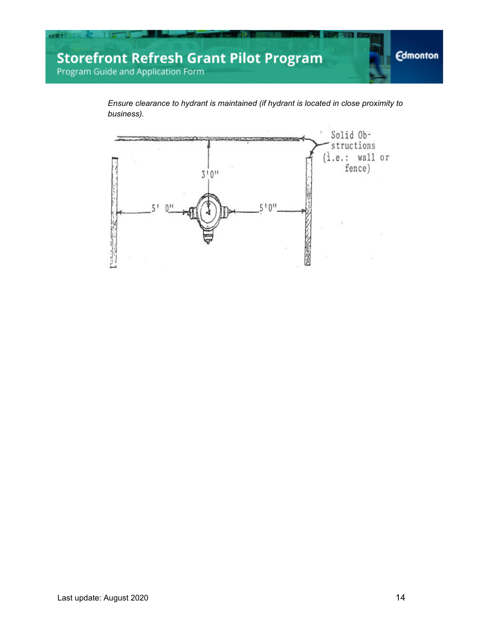

*Ensure clearance to hydrant is maintained (if hydrant is located in close proximity to business).*

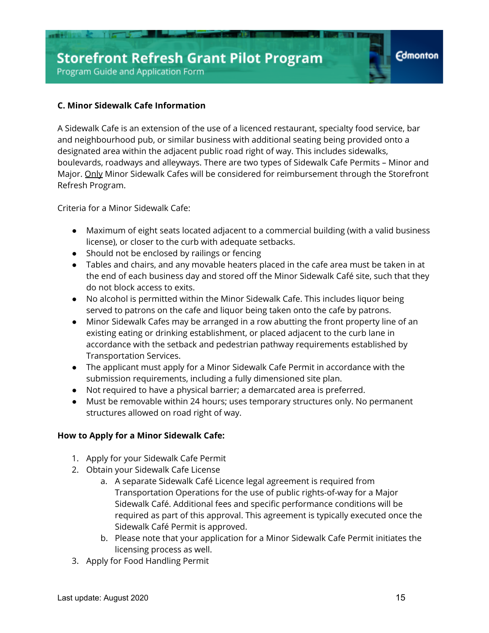## **C. Minor Sidewalk Cafe Information**

A Sidewalk Cafe is an extension of the use of a licenced restaurant, specialty food service, bar and neighbourhood pub, or similar business with additional seating being provided onto a designated area within the adjacent public road right of way. This includes sidewalks, boulevards, roadways and alleyways. There are two types of Sidewalk Cafe Permits – Minor and Major. Only Minor Sidewalk Cafes will be considered for reimbursement through the Storefront Refresh Program.

Criteria for a Minor Sidewalk Cafe:

- Maximum of eight seats located adjacent to a commercial building (with a valid business license), or closer to the curb with adequate setbacks.
- Should not be enclosed by railings or fencing
- Tables and chairs, and any movable heaters placed in the cafe area must be taken in at the end of each business day and stored off the Minor Sidewalk Café site, such that they do not block access to exits.
- No alcohol is permitted within the Minor Sidewalk Cafe. This includes liquor being served to patrons on the cafe and liquor being taken onto the cafe by patrons.
- Minor Sidewalk Cafes may be arranged in a row abutting the front property line of an existing eating or drinking establishment, or placed adjacent to the curb lane in accordance with the setback and pedestrian pathway requirements established by Transportation Services.
- The applicant must apply for a Minor Sidewalk Cafe Permit in accordance with the submission requirements, including a fully dimensioned site plan.
- Not required to have a physical barrier; a demarcated area is preferred.
- Must be removable within 24 hours; uses temporary structures only. No permanent structures allowed on road right of way.

### **How to Apply for a Minor Sidewalk Cafe:**

- 1. Apply for your Sidewalk Cafe Permit
- 2. Obtain your Sidewalk Cafe License
	- a. A separate Sidewalk Café Licence legal agreement is required from Transportation Operations for the use of public rights-of-way for a Major Sidewalk Café. Additional fees and specific performance conditions will be required as part of this approval. This agreement is typically executed once the Sidewalk Café Permit is approved.
	- b. Please note that your application for a Minor Sidewalk Cafe Permit initiates the licensing process as well.
- 3. Apply for Food Handling Permit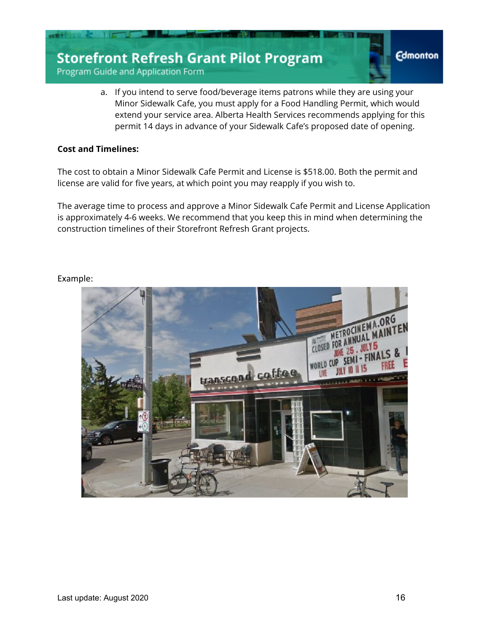Program Guide and Application Form

a. If you intend to serve food/beverage items patrons while they are using your Minor Sidewalk Cafe, you must apply for a Food Handling Permit, which would extend your service area. Alberta Health Services recommends applying for this permit 14 days in advance of your Sidewalk Cafe's proposed date of opening.

#### **Cost and Timelines:**

The cost to obtain a Minor Sidewalk Cafe Permit and License is \$518.00. Both the permit and license are valid for five years, at which point you may reapply if you wish to.

The average time to process and approve a Minor Sidewalk Cafe Permit and License Application is approximately 4-6 weeks. We recommend that you keep this in mind when determining the construction timelines of their Storefront Refresh Grant projects.



#### Example: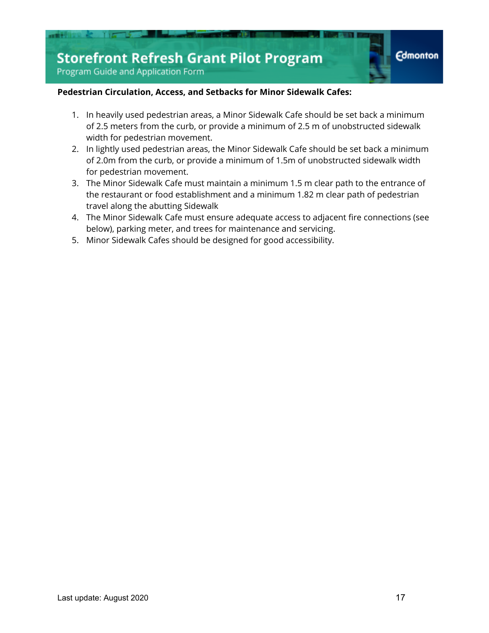

#### **Pedestrian Circulation, Access, and Setbacks for Minor Sidewalk Cafes:**

- 1. In heavily used pedestrian areas, a Minor Sidewalk Cafe should be set back a minimum of 2.5 meters from the curb, or provide a minimum of 2.5 m of unobstructed sidewalk width for pedestrian movement.
- 2. In lightly used pedestrian areas, the Minor Sidewalk Cafe should be set back a minimum of 2.0m from the curb, or provide a minimum of 1.5m of unobstructed sidewalk width for pedestrian movement.
- 3. The Minor Sidewalk Cafe must maintain a minimum 1.5 m clear path to the entrance of the restaurant or food establishment and a minimum 1.82 m clear path of pedestrian travel along the abutting Sidewalk
- 4. The Minor Sidewalk Cafe must ensure adequate access to adjacent fire connections (see below), parking meter, and trees for maintenance and servicing.
- 5. Minor Sidewalk Cafes should be designed for good accessibility.